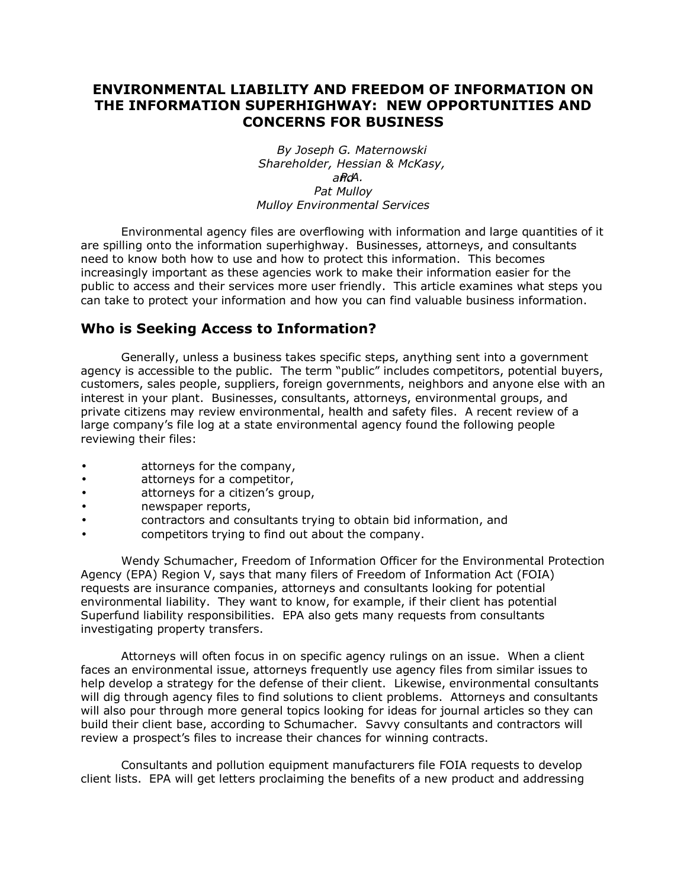## **ENVIRONMENTAL LIABILITY AND FREEDOM OF INFORMATION ON THE INFORMATION SUPERHIGHWAY: NEW OPPORTUNITIES AND CONCERNS FOR BUSINESS**

*By Joseph G. Maternowski Shareholder, Hessian & McKasy, and P.A. Pat Mulloy Mulloy Environmental Services* 

Environmental agency files are overflowing with information and large quantities of it are spilling onto the information superhighway. Businesses, attorneys, and consultants need to know both how to use and how to protect this information. This becomes increasingly important as these agencies work to make their information easier for the public to access and their services more user friendly. This article examines what steps you can take to protect your information and how you can find valuable business information.

# **Who is Seeking Access to Information?**

Generally, unless a business takes specific steps, anything sent into a government agency is accessible to the public. The term "public" includes competitors, potential buyers, customers, sales people, suppliers, foreign governments, neighbors and anyone else with an interest in your plant. Businesses, consultants, attorneys, environmental groups, and private citizens may review environmental, health and safety files. A recent review of a large companyís file log at a state environmental agency found the following people reviewing their files:

- attorneys for the company,
- attorneys for a competitor,
- attorneys for a citizen's group,
- newspaper reports,
- contractors and consultants trying to obtain bid information, and
- competitors trying to find out about the company.

Wendy Schumacher, Freedom of Information Officer for the Environmental Protection Agency (EPA) Region V, says that many filers of Freedom of Information Act (FOIA) requests are insurance companies, attorneys and consultants looking for potential environmental liability. They want to know, for example, if their client has potential Superfund liability responsibilities. EPA also gets many requests from consultants investigating property transfers.

Attorneys will often focus in on specific agency rulings on an issue. When a client faces an environmental issue, attorneys frequently use agency files from similar issues to help develop a strategy for the defense of their client. Likewise, environmental consultants will dig through agency files to find solutions to client problems. Attorneys and consultants will also pour through more general topics looking for ideas for journal articles so they can build their client base, according to Schumacher. Savvy consultants and contractors will review a prospect's files to increase their chances for winning contracts.

Consultants and pollution equipment manufacturers file FOIA requests to develop client lists. EPA will get letters proclaiming the benefits of a new product and addressing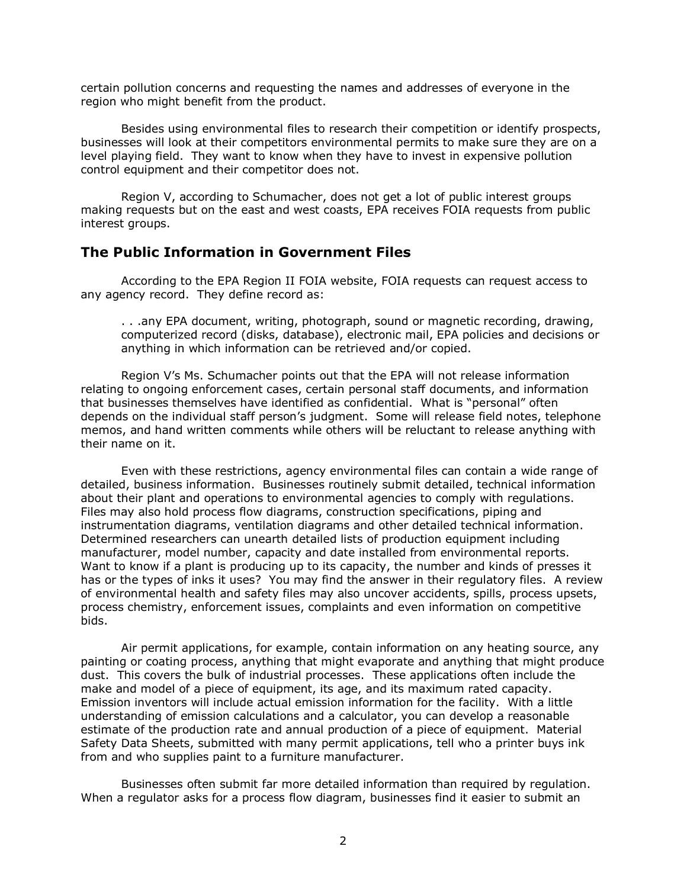certain pollution concerns and requesting the names and addresses of everyone in the region who might benefit from the product.

Besides using environmental files to research their competition or identify prospects, businesses will look at their competitors environmental permits to make sure they are on a level playing field. They want to know when they have to invest in expensive pollution control equipment and their competitor does not.

Region V, according to Schumacher, does not get a lot of public interest groups making requests but on the east and west coasts, EPA receives FOIA requests from public interest groups.

#### **The Public Information in Government Files**

According to the EPA Region II FOIA website, FOIA requests can request access to any agency record. They define record as:

. . .any EPA document, writing, photograph, sound or magnetic recording, drawing, computerized record (disks, database), electronic mail, EPA policies and decisions or anything in which information can be retrieved and/or copied.

Region Vís Ms. Schumacher points out that the EPA will not release information relating to ongoing enforcement cases, certain personal staff documents, and information that businesses themselves have identified as confidential. What is "personal" often depends on the individual staff person's judgment. Some will release field notes, telephone memos, and hand written comments while others will be reluctant to release anything with their name on it.

Even with these restrictions, agency environmental files can contain a wide range of detailed, business information. Businesses routinely submit detailed, technical information about their plant and operations to environmental agencies to comply with regulations. Files may also hold process flow diagrams, construction specifications, piping and instrumentation diagrams, ventilation diagrams and other detailed technical information. Determined researchers can unearth detailed lists of production equipment including manufacturer, model number, capacity and date installed from environmental reports. Want to know if a plant is producing up to its capacity, the number and kinds of presses it has or the types of inks it uses? You may find the answer in their regulatory files. A review of environmental health and safety files may also uncover accidents, spills, process upsets, process chemistry, enforcement issues, complaints and even information on competitive bids.

Air permit applications, for example, contain information on any heating source, any painting or coating process, anything that might evaporate and anything that might produce dust. This covers the bulk of industrial processes. These applications often include the make and model of a piece of equipment, its age, and its maximum rated capacity. Emission inventors will include actual emission information for the facility. With a little understanding of emission calculations and a calculator, you can develop a reasonable estimate of the production rate and annual production of a piece of equipment. Material Safety Data Sheets, submitted with many permit applications, tell who a printer buys ink from and who supplies paint to a furniture manufacturer.

Businesses often submit far more detailed information than required by regulation. When a regulator asks for a process flow diagram, businesses find it easier to submit an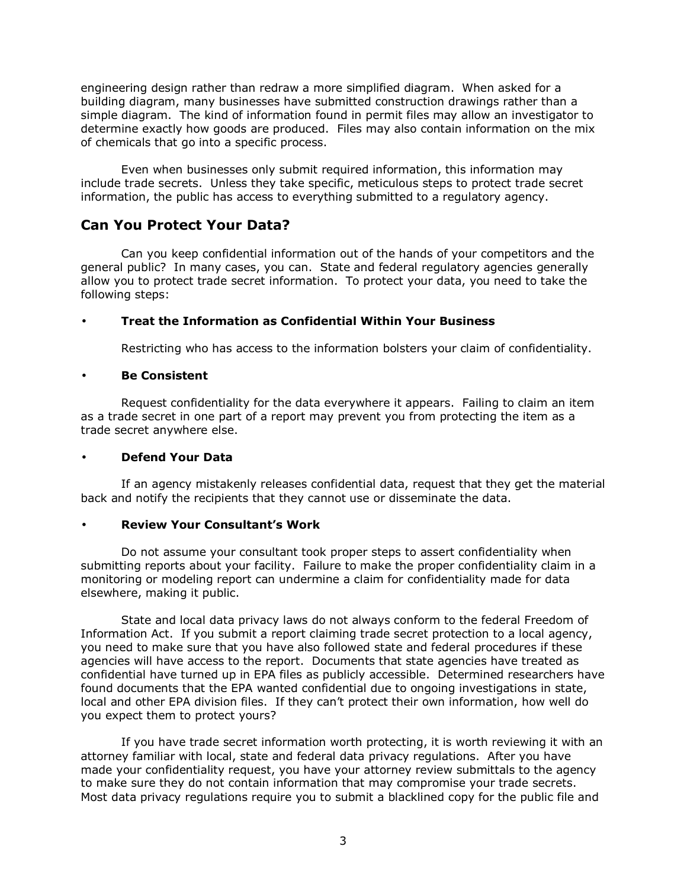engineering design rather than redraw a more simplified diagram. When asked for a building diagram, many businesses have submitted construction drawings rather than a simple diagram. The kind of information found in permit files may allow an investigator to determine exactly how goods are produced. Files may also contain information on the mix of chemicals that go into a specific process.

Even when businesses only submit required information, this information may include trade secrets. Unless they take specific, meticulous steps to protect trade secret information, the public has access to everything submitted to a regulatory agency.

## **Can You Protect Your Data?**

Can you keep confidential information out of the hands of your competitors and the general public? In many cases, you can. State and federal regulatory agencies generally allow you to protect trade secret information. To protect your data, you need to take the following steps:

## • **Treat the Information as Confidential Within Your Business**

Restricting who has access to the information bolsters your claim of confidentiality.

#### • **Be Consistent**

Request confidentiality for the data everywhere it appears. Failing to claim an item as a trade secret in one part of a report may prevent you from protecting the item as a trade secret anywhere else.

## • **Defend Your Data**

If an agency mistakenly releases confidential data, request that they get the material back and notify the recipients that they cannot use or disseminate the data.

## • **Review Your Consultantís Work**

Do not assume your consultant took proper steps to assert confidentiality when submitting reports about your facility. Failure to make the proper confidentiality claim in a monitoring or modeling report can undermine a claim for confidentiality made for data elsewhere, making it public.

State and local data privacy laws do not always conform to the federal Freedom of Information Act. If you submit a report claiming trade secret protection to a local agency, you need to make sure that you have also followed state and federal procedures if these agencies will have access to the report. Documents that state agencies have treated as confidential have turned up in EPA files as publicly accessible. Determined researchers have found documents that the EPA wanted confidential due to ongoing investigations in state, local and other EPA division files. If they can't protect their own information, how well do you expect them to protect yours?

If you have trade secret information worth protecting, it is worth reviewing it with an attorney familiar with local, state and federal data privacy regulations. After you have made your confidentiality request, you have your attorney review submittals to the agency to make sure they do not contain information that may compromise your trade secrets. Most data privacy regulations require you to submit a blacklined copy for the public file and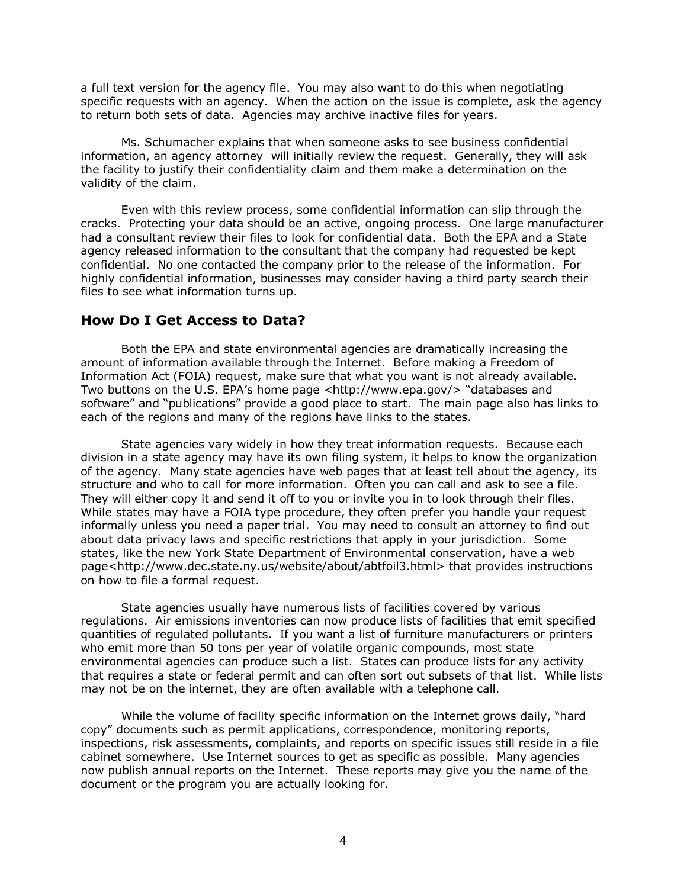a full text version for the agency file. You may also want to do this when negotiating specific requests with an agency. When the action on the issue is complete, ask the agency to return both sets of data. Agencies may archive inactive files for years.

Ms. Schumacher explains that when someone asks to see business confidential information, an agency attorney will initially review the request. Generally, they will ask the facility to justify their confidentiality claim and them make a determination on the validity of the claim.

Even with this review process, some confidential information can slip through the cracks. Protecting your data should be an active, ongoing process. One large manufacturer had a consultant review their files to look for confidential data. Both the EPA and a State agency released information to the consultant that the company had requested be kept confidential. No one contacted the company prior to the release of the information. For highly confidential information, businesses may consider having a third party search their files to see what information turns up.

## **How Do I Get Access to Data?**

Both the EPA and state environmental agencies are dramatically increasing the amount of information available through the Internet. Before making a Freedom of Information Act (FOIA) request, make sure that what you want is not already available. Two buttons on the U.S. EPA's home page <http://www.epa.gov/> "databases and software" and "publications" provide a good place to start. The main page also has links to each of the regions and many of the regions have links to the states.

State agencies vary widely in how they treat information requests. Because each division in a state agency may have its own filing system, it helps to know the organization of the agency. Many state agencies have web pages that at least tell about the agency, its structure and who to call for more information. Often you can call and ask to see a file. They will either copy it and send it off to you or invite you in to look through their files. While states may have a FOIA type procedure, they often prefer you handle your request informally unless you need a paper trial. You may need to consult an attorney to find out about data privacy laws and specific restrictions that apply in your jurisdiction. Some states, like the new York State Department of Environmental conservation, have a web page<http://www.dec.state.ny.us/website/about/abtfoil3.html> that provides instructions on how to file a formal request.

State agencies usually have numerous lists of facilities covered by various regulations. Air emissions inventories can now produce lists of facilities that emit specified quantities of regulated pollutants. If you want a list of furniture manufacturers or printers who emit more than 50 tons per year of volatile organic compounds, most state environmental agencies can produce such a list. States can produce lists for any activity that requires a state or federal permit and can often sort out subsets of that list. While lists may not be on the internet, they are often available with a telephone call.

While the volume of facility specific information on the Internet grows daily, "hard copyî documents such as permit applications, correspondence, monitoring reports, inspections, risk assessments, complaints, and reports on specific issues still reside in a file cabinet somewhere. Use Internet sources to get as specific as possible. Many agencies now publish annual reports on the Internet. These reports may give you the name of the document or the program you are actually looking for.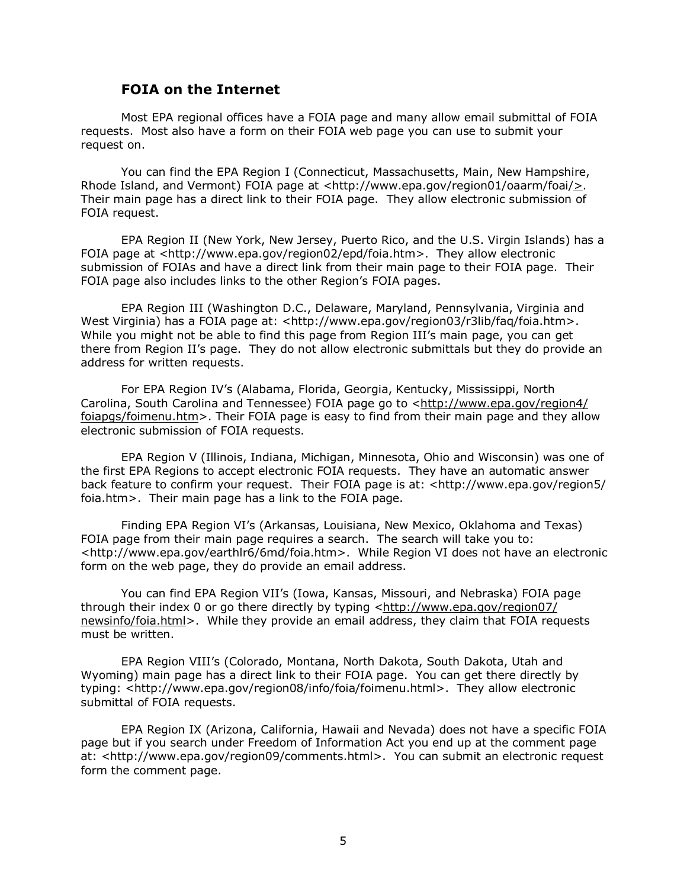#### **FOIA on the Internet**

Most EPA regional offices have a FOIA page and many allow email submittal of FOIA requests. Most also have a form on their FOIA web page you can use to submit your request on.

You can find the EPA Region I (Connecticut, Massachusetts, Main, New Hampshire, Rhode Island, and Vermont) FOIA page at <http://www.epa.gov/region01/oaarm/foai/ $\geq$ . Their main page has a direct link to their FOIA page. They allow electronic submission of FOIA request.

EPA Region II (New York, New Jersey, Puerto Rico, and the U.S. Virgin Islands) has a FOIA page at <http://www.epa.gov/region02/epd/foia.htm>. They allow electronic submission of FOIAs and have a direct link from their main page to their FOIA page. Their FOIA page also includes links to the other Region's FOIA pages.

EPA Region III (Washington D.C., Delaware, Maryland, Pennsylvania, Virginia and West Virginia) has a FOIA page at: <http://www.epa.gov/region03/r3lib/faq/foia.htm>. While you might not be able to find this page from Region III's main page, you can get there from Region IIís page. They do not allow electronic submittals but they do provide an address for written requests.

For EPA Region IVís (Alabama, Florida, Georgia, Kentucky, Mississippi, North Carolina, South Carolina and Tennessee) FOIA page go to <http://www.epa.gov/region4/ foiapgs/foimenu.htm>. Their FOIA page is easy to find from their main page and they allow electronic submission of FOIA requests.

EPA Region V (Illinois, Indiana, Michigan, Minnesota, Ohio and Wisconsin) was one of the first EPA Regions to accept electronic FOIA requests. They have an automatic answer back feature to confirm your request. Their FOIA page is at: <http://www.epa.gov/region5/ foia.htm>. Their main page has a link to the FOIA page.

Finding EPA Region VIís (Arkansas, Louisiana, New Mexico, Oklahoma and Texas) FOIA page from their main page requires a search. The search will take you to: <http://www.epa.gov/earthlr6/6md/foia.htm>. While Region VI does not have an electronic form on the web page, they do provide an email address.

You can find EPA Region VII's (Iowa, Kansas, Missouri, and Nebraska) FOIA page through their index 0 or go there directly by typing <http://www.epa.gov/region07/ newsinfo/foia.html>. While they provide an email address, they claim that FOIA requests must be written.

EPA Region VIIIís (Colorado, Montana, North Dakota, South Dakota, Utah and Wyoming) main page has a direct link to their FOIA page. You can get there directly by typing: <http://www.epa.gov/region08/info/foia/foimenu.html>. They allow electronic submittal of FOIA requests.

EPA Region IX (Arizona, California, Hawaii and Nevada) does not have a specific FOIA page but if you search under Freedom of Information Act you end up at the comment page at: <http://www.epa.gov/region09/comments.html>. You can submit an electronic request form the comment page.